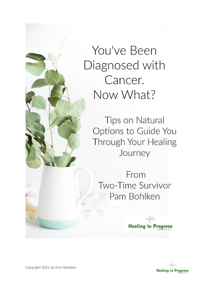You've Been Diagnosed with Cancer. Now What?

> Tips on Natural Options to Guide You Through Your Healing Journey

From Two-Time Survivor Pam Bohlken



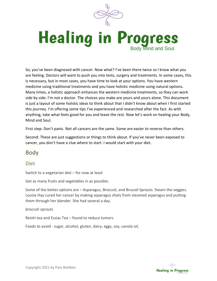

# **Healing in Progress Body Mind and Soul**

So, you've been diagnosed with cancer. Now what? I've been there twice so I know what you are feeling. Doctors will want to push you into tests, surgery and treatments. In some cases, this is necessary, but in most cases, you have time to look at your options. You have western medicine using traditional treatments and you have holistic medicine using natural options. Many times, a holistic approach enhances the western medicine treatments, so they can work side by side. I'm not a doctor. The choices you make are yours and yours alone. This document is just a layout of some holistic ideas to think about that I didn't know about when I first started this journey. I'm offering some tips I've experienced and researched after the fact. As with anything, take what feels good for you and leave the rest. Now let's work on healing your Body, Mind and Soul.

First step: Don't panic. Not all cancers are the same. Some are easier to reverse than others.

Second: These are just suggestions or things to think about. If you've never been exposed to cancer, you don't have a clue where to start. I would start with your diet.

# Body

#### Diet

Switch to a vegetarian diet – for now at least

Get as many fruits and vegetables in as possible.

Some of the better options are – Asparagus, Broccoli, and Brussel Sprouts. Steam the veggies. Louise Hay cured her cancer by making asparagus shots from steamed asparagus and putting them through her blender. She had several a day.

broccoli sprouts

Reishi tea and Essiac Tea – found to reduce tumors

Foods to avoid - sugar, alcohol, gluten, dairy, eggs, soy, canola oil,

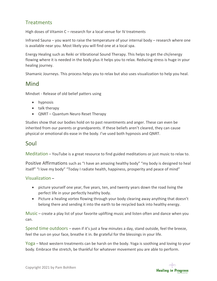### **Treatments**

High doses of Vitamin C – research for a local venue for IV treatments

Infrared Sauna – you want to raise the temperature of your internal body – research where one is available near you. Most likely you will find one at a local spa.

Energy Healing such as Reiki or Vibrational Sound Therapy. This helps to get the chi/energy flowing where it is needed in the body plus it helps you to relax. Reducing stress is huge in your healing journey.

Shamanic Journeys. This process helps you to relax but also uses visualization to help you heal.

# Mind

Mindset - Release of old belief patters using

- hypnosis
- talk therapy
- QNRT Quantum Neuro Reset Therapy

Studies show that our bodies hold on to past resentments and anger. These can even be inherited from our parents or grandparents. If these beliefs aren't cleared, they can cause physical or emotional dis-ease in the body. I've used both hypnosis and QNRT.

# Soul

Meditation – YouTube is a great resource to find guided meditations or just music to relax to.

Positive Affirmations such as "I have an amazing healthy body" "my body is designed to heal itself" "I love my body" "Today I radiate health, happiness, prosperity and peace of mind"

#### Visualization –

- picture yourself one year, five years, ten, and twenty years down the road living the perfect life in your perfectly healthy body.
- Picture a healing vortex flowing through your body clearing away anything that doesn't belong there and sending it into the earth to be recycled back into healthy energy.

Music – create a play list of your favorite uplifting music and listen often and dance when you can.

Spend time outdoors – even if it's just a few minutes a day, stand outside, feel the breeze, feel the sun on your face, breathe it in. Be grateful for the blessings in your life.

Yoga – Most western treatments can be harsh on the body. Yoga is soothing and loving to your body. Embrace the stretch, be thankful for whatever movement you are able to perform.